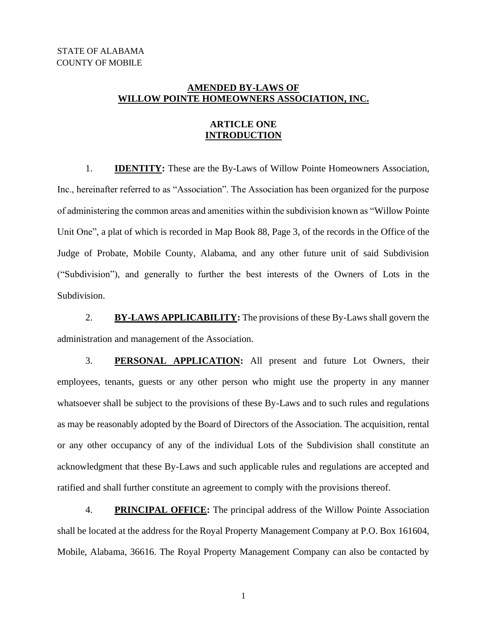# **AMENDED BY-LAWS OF WILLOW POINTE HOMEOWNERS ASSOCIATION, INC.**

## **ARTICLE ONE INTRODUCTION**

1. **IDENTITY:** These are the By-Laws of Willow Pointe Homeowners Association, Inc., hereinafter referred to as "Association". The Association has been organized for the purpose of administering the common areas and amenities within the subdivision known as "Willow Pointe Unit One", a plat of which is recorded in Map Book 88, Page 3, of the records in the Office of the Judge of Probate, Mobile County, Alabama, and any other future unit of said Subdivision ("Subdivision"), and generally to further the best interests of the Owners of Lots in the Subdivision.

2. **BY-LAWS APPLICABILITY:** The provisions of these By-Laws shall govern the administration and management of the Association.

3. **PERSONAL APPLICATION:** All present and future Lot Owners, their employees, tenants, guests or any other person who might use the property in any manner whatsoever shall be subject to the provisions of these By-Laws and to such rules and regulations as may be reasonably adopted by the Board of Directors of the Association. The acquisition, rental or any other occupancy of any of the individual Lots of the Subdivision shall constitute an acknowledgment that these By-Laws and such applicable rules and regulations are accepted and ratified and shall further constitute an agreement to comply with the provisions thereof.

4. **PRINCIPAL OFFICE:** The principal address of the Willow Pointe Association shall be located at the address for the Royal Property Management Company at P.O. Box 161604, Mobile, Alabama, 36616. The Royal Property Management Company can also be contacted by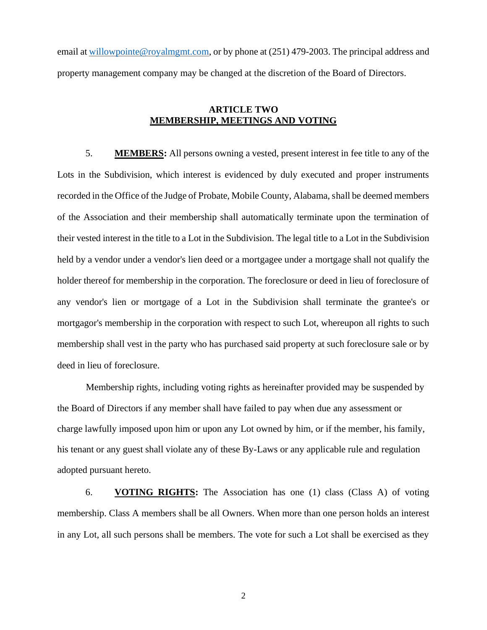email at [willowpointe@royalmgmt.com,](mailto:willowpointe@royalmgmt.com) or by phone at (251) 479-2003. The principal address and property management company may be changed at the discretion of the Board of Directors.

## **ARTICLE TWO MEMBERSHIP, MEETINGS AND VOTING**

5. **MEMBERS:** All persons owning a vested, present interest in fee title to any of the Lots in the Subdivision, which interest is evidenced by duly executed and proper instruments recorded in the Office of the Judge of Probate, Mobile County, Alabama, shall be deemed members of the Association and their membership shall automatically terminate upon the termination of their vested interest in the title to a Lot in the Subdivision. The legal title to a Lot in the Subdivision held by a vendor under a vendor's lien deed or a mortgagee under a mortgage shall not qualify the holder thereof for membership in the corporation. The foreclosure or deed in lieu of foreclosure of any vendor's lien or mortgage of a Lot in the Subdivision shall terminate the grantee's or mortgagor's membership in the corporation with respect to such Lot, whereupon all rights to such membership shall vest in the party who has purchased said property at such foreclosure sale or by deed in lieu of foreclosure.

Membership rights, including voting rights as hereinafter provided may be suspended by the Board of Directors if any member shall have failed to pay when due any assessment or charge lawfully imposed upon him or upon any Lot owned by him, or if the member, his family, his tenant or any guest shall violate any of these By-Laws or any applicable rule and regulation adopted pursuant hereto.

6. **VOTING RIGHTS:** The Association has one (1) class (Class A) of voting membership. Class A members shall be all Owners. When more than one person holds an interest in any Lot, all such persons shall be members. The vote for such a Lot shall be exercised as they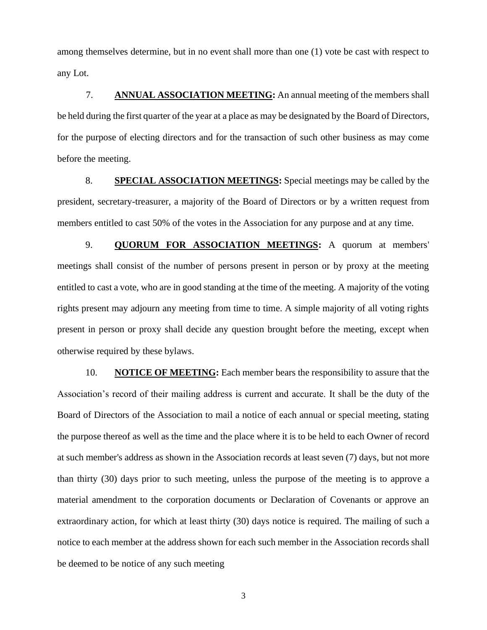among themselves determine, but in no event shall more than one (1) vote be cast with respect to any Lot.

7. **ANNUAL ASSOCIATION MEETING:** An annual meeting of the members shall be held during the first quarter of the year at a place as may be designated by the Board of Directors, for the purpose of electing directors and for the transaction of such other business as may come before the meeting.

8. **SPECIAL ASSOCIATION MEETINGS:** Special meetings may be called by the president, secretary-treasurer, a majority of the Board of Directors or by a written request from members entitled to cast 50% of the votes in the Association for any purpose and at any time.

9. **QUORUM FOR ASSOCIATION MEETINGS:** A quorum at members' meetings shall consist of the number of persons present in person or by proxy at the meeting entitled to cast a vote, who are in good standing at the time of the meeting. A majority of the voting rights present may adjourn any meeting from time to time. A simple majority of all voting rights present in person or proxy shall decide any question brought before the meeting, except when otherwise required by these bylaws.

10. **NOTICE OF MEETING:** Each member bears the responsibility to assure that the Association's record of their mailing address is current and accurate. It shall be the duty of the Board of Directors of the Association to mail a notice of each annual or special meeting, stating the purpose thereof as well as the time and the place where it is to be held to each Owner of record at such member's address as shown in the Association records at least seven (7) days, but not more than thirty (30) days prior to such meeting, unless the purpose of the meeting is to approve a material amendment to the corporation documents or Declaration of Covenants or approve an extraordinary action, for which at least thirty (30) days notice is required. The mailing of such a notice to each member at the address shown for each such member in the Association records shall be deemed to be notice of any such meeting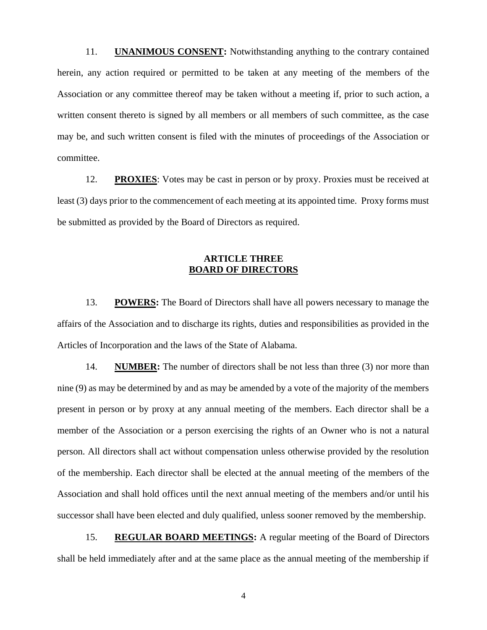11. **UNANIMOUS CONSENT:** Notwithstanding anything to the contrary contained herein, any action required or permitted to be taken at any meeting of the members of the Association or any committee thereof may be taken without a meeting if, prior to such action, a written consent thereto is signed by all members or all members of such committee, as the case may be, and such written consent is filed with the minutes of proceedings of the Association or committee.

12. **PROXIES**: Votes may be cast in person or by proxy. Proxies must be received at least (3) days prior to the commencement of each meeting at its appointed time. Proxy forms must be submitted as provided by the Board of Directors as required.

# **ARTICLE THREE BOARD OF DIRECTORS**

13. **POWERS:** The Board of Directors shall have all powers necessary to manage the affairs of the Association and to discharge its rights, duties and responsibilities as provided in the Articles of Incorporation and the laws of the State of Alabama.

14. **NUMBER:** The number of directors shall be not less than three (3) nor more than nine (9) as may be determined by and as may be amended by a vote of the majority of the members present in person or by proxy at any annual meeting of the members. Each director shall be a member of the Association or a person exercising the rights of an Owner who is not a natural person. All directors shall act without compensation unless otherwise provided by the resolution of the membership. Each director shall be elected at the annual meeting of the members of the Association and shall hold offices until the next annual meeting of the members and/or until his successor shall have been elected and duly qualified, unless sooner removed by the membership.

15. **REGULAR BOARD MEETINGS:** A regular meeting of the Board of Directors shall be held immediately after and at the same place as the annual meeting of the membership if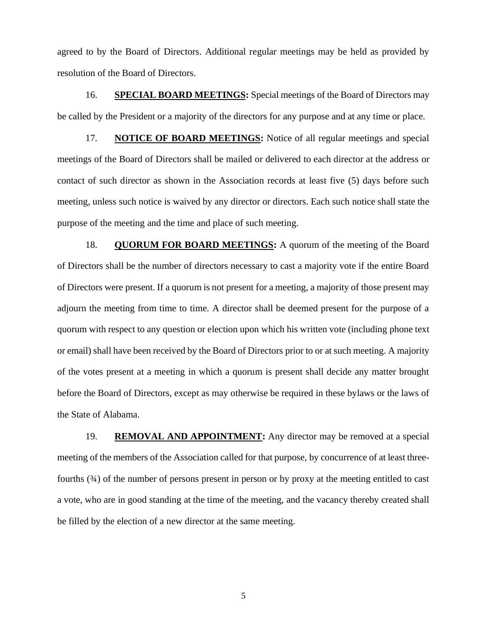agreed to by the Board of Directors. Additional regular meetings may be held as provided by resolution of the Board of Directors.

16. **SPECIAL BOARD MEETINGS:** Special meetings of the Board of Directors may be called by the President or a majority of the directors for any purpose and at any time or place.

17. **NOTICE OF BOARD MEETINGS:** Notice of all regular meetings and special meetings of the Board of Directors shall be mailed or delivered to each director at the address or contact of such director as shown in the Association records at least five (5) days before such meeting, unless such notice is waived by any director or directors. Each such notice shall state the purpose of the meeting and the time and place of such meeting.

18. **QUORUM FOR BOARD MEETINGS:** A quorum of the meeting of the Board of Directors shall be the number of directors necessary to cast a majority vote if the entire Board of Directors were present. If a quorum is not present for a meeting, a majority of those present may adjourn the meeting from time to time. A director shall be deemed present for the purpose of a quorum with respect to any question or election upon which his written vote (including phone text or email) shall have been received by the Board of Directors prior to or at such meeting. A majority of the votes present at a meeting in which a quorum is present shall decide any matter brought before the Board of Directors, except as may otherwise be required in these bylaws or the laws of the State of Alabama.

19. **REMOVAL AND APPOINTMENT:** Any director may be removed at a special meeting of the members of the Association called for that purpose, by concurrence of at least threefourths (¾) of the number of persons present in person or by proxy at the meeting entitled to cast a vote, who are in good standing at the time of the meeting, and the vacancy thereby created shall be filled by the election of a new director at the same meeting.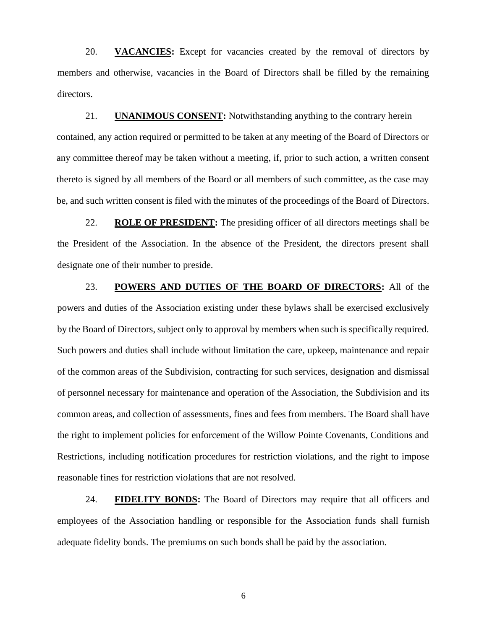20. **VACANCIES:** Except for vacancies created by the removal of directors by members and otherwise, vacancies in the Board of Directors shall be filled by the remaining directors.

21. **UNANIMOUS CONSENT:** Notwithstanding anything to the contrary herein contained, any action required or permitted to be taken at any meeting of the Board of Directors or any committee thereof may be taken without a meeting, if, prior to such action, a written consent thereto is signed by all members of the Board or all members of such committee, as the case may be, and such written consent is filed with the minutes of the proceedings of the Board of Directors.

22. **ROLE OF PRESIDENT:** The presiding officer of all directors meetings shall be the President of the Association. In the absence of the President, the directors present shall designate one of their number to preside.

23. **POWERS AND DUTIES OF THE BOARD OF DIRECTORS:** All of the powers and duties of the Association existing under these bylaws shall be exercised exclusively by the Board of Directors, subject only to approval by members when such is specifically required. Such powers and duties shall include without limitation the care, upkeep, maintenance and repair of the common areas of the Subdivision, contracting for such services, designation and dismissal of personnel necessary for maintenance and operation of the Association, the Subdivision and its common areas, and collection of assessments, fines and fees from members. The Board shall have the right to implement policies for enforcement of the Willow Pointe Covenants, Conditions and Restrictions, including notification procedures for restriction violations, and the right to impose reasonable fines for restriction violations that are not resolved.

24. **FIDELITY BONDS:** The Board of Directors may require that all officers and employees of the Association handling or responsible for the Association funds shall furnish adequate fidelity bonds. The premiums on such bonds shall be paid by the association.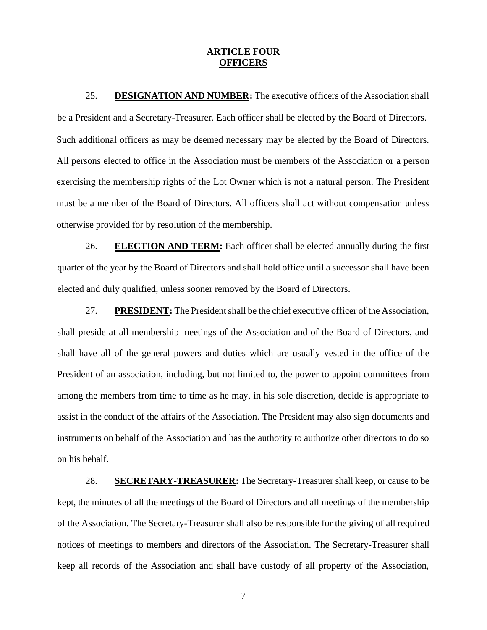### **ARTICLE FOUR OFFICERS**

25. **DESIGNATION AND NUMBER:** The executive officers of the Association shall be a President and a Secretary-Treasurer. Each officer shall be elected by the Board of Directors. Such additional officers as may be deemed necessary may be elected by the Board of Directors. All persons elected to office in the Association must be members of the Association or a person exercising the membership rights of the Lot Owner which is not a natural person. The President must be a member of the Board of Directors. All officers shall act without compensation unless otherwise provided for by resolution of the membership.

26. **ELECTION AND TERM:** Each officer shall be elected annually during the first quarter of the year by the Board of Directors and shall hold office until a successor shall have been elected and duly qualified, unless sooner removed by the Board of Directors.

27. **PRESIDENT:** The President shall be the chief executive officer of the Association, shall preside at all membership meetings of the Association and of the Board of Directors, and shall have all of the general powers and duties which are usually vested in the office of the President of an association, including, but not limited to, the power to appoint committees from among the members from time to time as he may, in his sole discretion, decide is appropriate to assist in the conduct of the affairs of the Association. The President may also sign documents and instruments on behalf of the Association and has the authority to authorize other directors to do so on his behalf.

28. **SECRETARY-TREASURER:** The Secretary-Treasurer shall keep, or cause to be kept, the minutes of all the meetings of the Board of Directors and all meetings of the membership of the Association. The Secretary-Treasurer shall also be responsible for the giving of all required notices of meetings to members and directors of the Association. The Secretary-Treasurer shall keep all records of the Association and shall have custody of all property of the Association,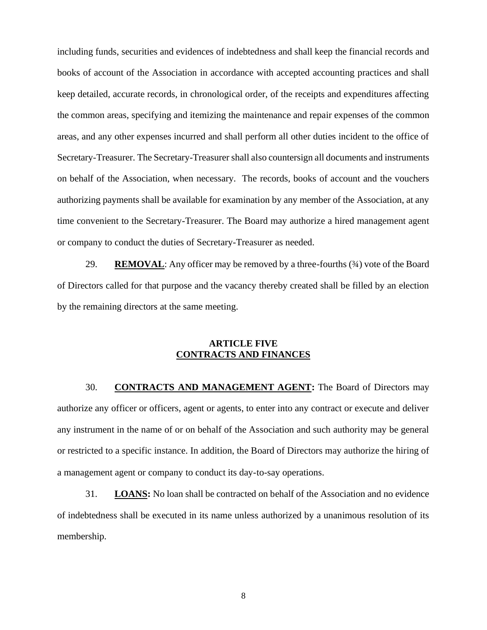including funds, securities and evidences of indebtedness and shall keep the financial records and books of account of the Association in accordance with accepted accounting practices and shall keep detailed, accurate records, in chronological order, of the receipts and expenditures affecting the common areas, specifying and itemizing the maintenance and repair expenses of the common areas, and any other expenses incurred and shall perform all other duties incident to the office of Secretary-Treasurer. The Secretary-Treasurer shall also countersign all documents and instruments on behalf of the Association, when necessary. The records, books of account and the vouchers authorizing payments shall be available for examination by any member of the Association, at any time convenient to the Secretary-Treasurer. The Board may authorize a hired management agent or company to conduct the duties of Secretary-Treasurer as needed.

29. **REMOVAL**: Any officer may be removed by a three-fourths (¾) vote of the Board of Directors called for that purpose and the vacancy thereby created shall be filled by an election by the remaining directors at the same meeting.

# **ARTICLE FIVE CONTRACTS AND FINANCES**

30. **CONTRACTS AND MANAGEMENT AGENT:** The Board of Directors may authorize any officer or officers, agent or agents, to enter into any contract or execute and deliver any instrument in the name of or on behalf of the Association and such authority may be general or restricted to a specific instance. In addition, the Board of Directors may authorize the hiring of a management agent or company to conduct its day-to-say operations.

31. **LOANS:** No loan shall be contracted on behalf of the Association and no evidence of indebtedness shall be executed in its name unless authorized by a unanimous resolution of its membership.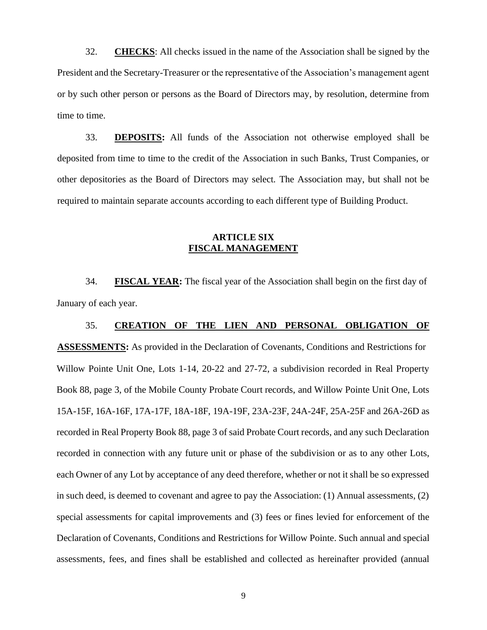32. **CHECKS**: All checks issued in the name of the Association shall be signed by the President and the Secretary-Treasurer or the representative of the Association's management agent or by such other person or persons as the Board of Directors may, by resolution, determine from time to time.

33. **DEPOSITS:** All funds of the Association not otherwise employed shall be deposited from time to time to the credit of the Association in such Banks, Trust Companies, or other depositories as the Board of Directors may select. The Association may, but shall not be required to maintain separate accounts according to each different type of Building Product.

# **ARTICLE SIX FISCAL MANAGEMENT**

34. **FISCAL YEAR:** The fiscal year of the Association shall begin on the first day of January of each year.

### 35. **CREATION OF THE LIEN AND PERSONAL OBLIGATION OF**

**ASSESSMENTS:** As provided in the Declaration of Covenants, Conditions and Restrictions for Willow Pointe Unit One, Lots 1-14, 20-22 and 27-72, a subdivision recorded in Real Property Book 88, page 3, of the Mobile County Probate Court records, and Willow Pointe Unit One, Lots 15A-15F, 16A-16F, 17A-17F, 18A-18F, 19A-19F, 23A-23F, 24A-24F, 25A-25F and 26A-26D as recorded in Real Property Book 88, page 3 of said Probate Court records, and any such Declaration recorded in connection with any future unit or phase of the subdivision or as to any other Lots, each Owner of any Lot by acceptance of any deed therefore, whether or not it shall be so expressed in such deed, is deemed to covenant and agree to pay the Association: (1) Annual assessments, (2) special assessments for capital improvements and (3) fees or fines levied for enforcement of the Declaration of Covenants, Conditions and Restrictions for Willow Pointe. Such annual and special assessments, fees, and fines shall be established and collected as hereinafter provided (annual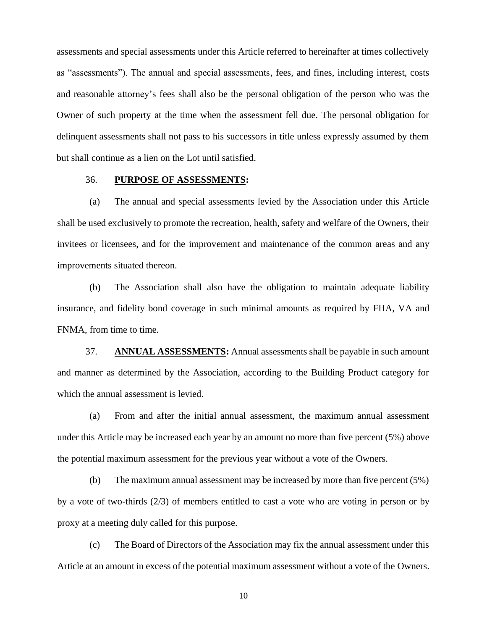assessments and special assessments under this Article referred to hereinafter at times collectively as "assessments"). The annual and special assessments, fees, and fines, including interest, costs and reasonable attorney's fees shall also be the personal obligation of the person who was the Owner of such property at the time when the assessment fell due. The personal obligation for delinquent assessments shall not pass to his successors in title unless expressly assumed by them but shall continue as a lien on the Lot until satisfied.

#### 36. **PURPOSE OF ASSESSMENTS:**

(a) The annual and special assessments levied by the Association under this Article shall be used exclusively to promote the recreation, health, safety and welfare of the Owners, their invitees or licensees, and for the improvement and maintenance of the common areas and any improvements situated thereon.

(b) The Association shall also have the obligation to maintain adequate liability insurance, and fidelity bond coverage in such minimal amounts as required by FHA, VA and FNMA, from time to time.

37. **ANNUAL ASSESSMENTS:** Annual assessments shall be payable in such amount and manner as determined by the Association, according to the Building Product category for which the annual assessment is levied.

(a) From and after the initial annual assessment, the maximum annual assessment under this Article may be increased each year by an amount no more than five percent (5%) above the potential maximum assessment for the previous year without a vote of the Owners.

(b) The maximum annual assessment may be increased by more than five percent (5%) by a vote of two-thirds (2/3) of members entitled to cast a vote who are voting in person or by proxy at a meeting duly called for this purpose.

(c) The Board of Directors of the Association may fix the annual assessment under this Article at an amount in excess of the potential maximum assessment without a vote of the Owners.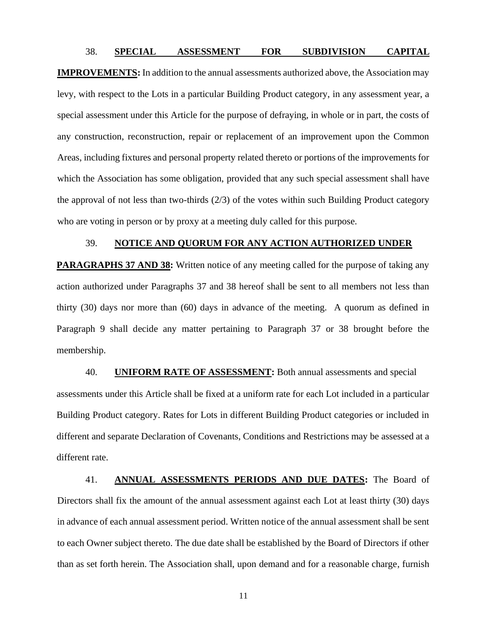#### 38. **SPECIAL ASSESSMENT FOR SUBDIVISION CAPITAL**

**IMPROVEMENTS:** In addition to the annual assessments authorized above, the Association may levy, with respect to the Lots in a particular Building Product category, in any assessment year, a special assessment under this Article for the purpose of defraying, in whole or in part, the costs of any construction, reconstruction, repair or replacement of an improvement upon the Common Areas, including fixtures and personal property related thereto or portions of the improvements for which the Association has some obligation, provided that any such special assessment shall have the approval of not less than two-thirds  $(2/3)$  of the votes within such Building Product category who are voting in person or by proxy at a meeting duly called for this purpose.

### 39. **NOTICE AND QUORUM FOR ANY ACTION AUTHORIZED UNDER**

**PARAGRAPHS 37 AND 38:** Written notice of any meeting called for the purpose of taking any action authorized under Paragraphs 37 and 38 hereof shall be sent to all members not less than thirty (30) days nor more than (60) days in advance of the meeting. A quorum as defined in Paragraph 9 shall decide any matter pertaining to Paragraph 37 or 38 brought before the membership.

40. **UNIFORM RATE OF ASSESSMENT:** Both annual assessments and special assessments under this Article shall be fixed at a uniform rate for each Lot included in a particular Building Product category. Rates for Lots in different Building Product categories or included in different and separate Declaration of Covenants, Conditions and Restrictions may be assessed at a different rate.

41. **ANNUAL ASSESSMENTS PERIODS AND DUE DATES:** The Board of Directors shall fix the amount of the annual assessment against each Lot at least thirty (30) days in advance of each annual assessment period. Written notice of the annual assessment shall be sent to each Owner subject thereto. The due date shall be established by the Board of Directors if other than as set forth herein. The Association shall, upon demand and for a reasonable charge, furnish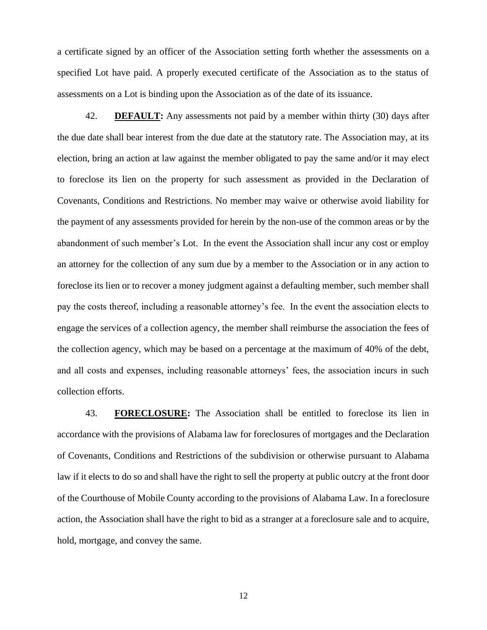a certificate signed by an officer of the Association setting forth whether the assessments on a specified Lot have paid. A properly executed certificate of the Association as to the status of assessments on a Lot is binding upon the Association as of the date of its issuance.

42. **DEFAULT:** Any assessments not paid by a member within thirty (30) days after the due date shall bear interest from the due date at the statutory rate. The Association may, at its election, bring an action at law against the member obligated to pay the same and/or it may elect to foreclose its lien on the property for such assessment as provided in the Declaration of Covenants, Conditions and Restrictions. No member may waive or otherwise avoid liability for the payment of any assessments provided for herein by the non-use of the common areas or by the abandonment of such member's Lot. In the event the Association shall incur any cost or employ an attorney for the collection of any sum due by a member to the Association or in any action to foreclose its lien or to recover a money judgment against a defaulting member, such member shall pay the costs thereof, including a reasonable attorney's fee. In the event the association elects to engage the services of a collection agency, the member shall reimburse the association the fees of the collection agency, which may be based on a percentage at the maximum of 40% of the debt, and all costs and expenses, including reasonable attorneys' fees, the association incurs in such collection efforts.

43. **FORECLOSURE:** The Association shall be entitled to foreclose its lien in accordance with the provisions of Alabama law for foreclosures of mortgages and the Declaration of Covenants, Conditions and Restrictions of the subdivision or otherwise pursuant to Alabama law if it elects to do so and shall have the right to sell the property at public outcry at the front door of the Courthouse of Mobile County according to the provisions of Alabama Law. In a foreclosure action, the Association shall have the right to bid as a stranger at a foreclosure sale and to acquire, hold, mortgage, and convey the same.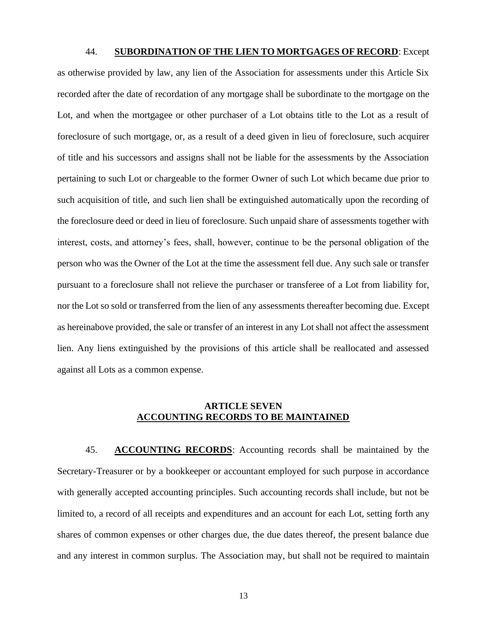#### 44. **SUBORDINATION OF THE LIEN TO MORTGAGES OF RECORD**: Except

as otherwise provided by law, any lien of the Association for assessments under this Article Six recorded after the date of recordation of any mortgage shall be subordinate to the mortgage on the Lot, and when the mortgagee or other purchaser of a Lot obtains title to the Lot as a result of foreclosure of such mortgage, or, as a result of a deed given in lieu of foreclosure, such acquirer of title and his successors and assigns shall not be liable for the assessments by the Association pertaining to such Lot or chargeable to the former Owner of such Lot which became due prior to such acquisition of title, and such lien shall be extinguished automatically upon the recording of the foreclosure deed or deed in lieu of foreclosure. Such unpaid share of assessments together with interest, costs, and attorney's fees, shall, however, continue to be the personal obligation of the person who was the Owner of the Lot at the time the assessment fell due. Any such sale or transfer pursuant to a foreclosure shall not relieve the purchaser or transferee of a Lot from liability for, nor the Lot so sold or transferred from the lien of any assessments thereafter becoming due. Except as hereinabove provided, the sale or transfer of an interest in any Lot shall not affect the assessment lien. Any liens extinguished by the provisions of this article shall be reallocated and assessed against all Lots as a common expense.

# **ARTICLE SEVEN ACCOUNTING RECORDS TO BE MAINTAINED**

45. **ACCOUNTING RECORDS**: Accounting records shall be maintained by the Secretary-Treasurer or by a bookkeeper or accountant employed for such purpose in accordance with generally accepted accounting principles. Such accounting records shall include, but not be limited to, a record of all receipts and expenditures and an account for each Lot, setting forth any shares of common expenses or other charges due, the due dates thereof, the present balance due and any interest in common surplus. The Association may, but shall not be required to maintain